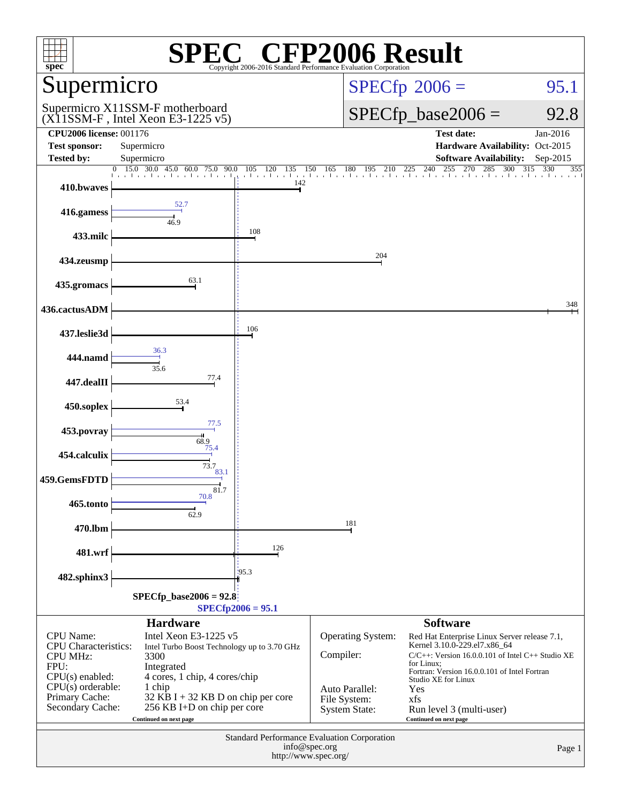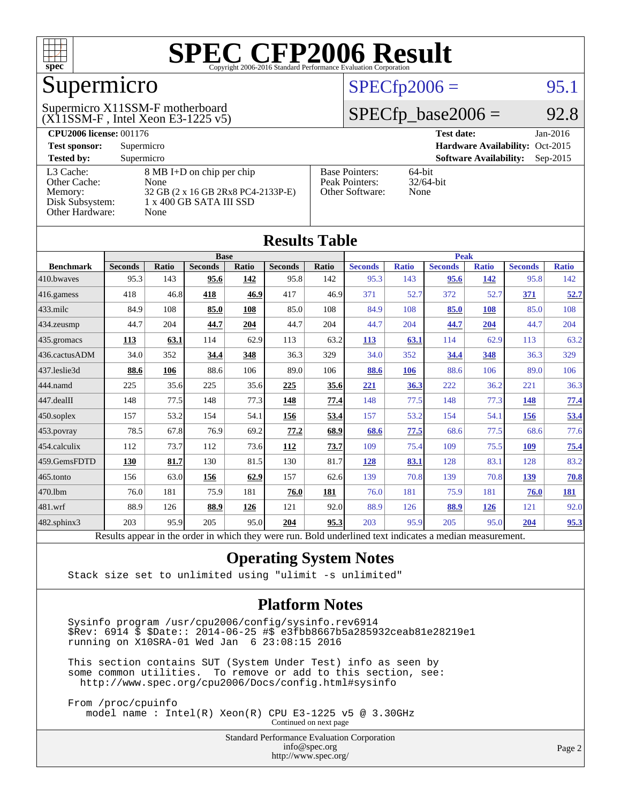

## Supermicro

#### (X11SSM-F , Intel Xeon E3-1225 v5) Supermicro X11SSM-F motherboard

### $SPECTp2006 =$  95.1

## $SPECfp\_base2006 = 92.8$

| <b>CPU2006 license: 001176</b> |                                    |                       | $Jan-2016$<br><b>Test date:</b>             |
|--------------------------------|------------------------------------|-----------------------|---------------------------------------------|
| <b>Test sponsor:</b>           | Supermicro                         |                       | Hardware Availability: Oct-2015             |
| <b>Tested by:</b>              | Supermicro                         |                       | <b>Software Availability:</b><br>$Sep-2015$ |
| L3 Cache:                      | 8 MB I+D on chip per chip          | <b>Base Pointers:</b> | $64$ -bit                                   |
| Other Cache:                   | None                               | Peak Pointers:        | $32/64$ -bit                                |
| Memory:                        | 32 GB (2 x 16 GB 2Rx8 PC4-2133P-E) | Other Software:       | None                                        |
| Disk Subsystem:                | 1 x 400 GB SATA III SSD            |                       |                                             |
| <b>Other Hardware:</b>         | None                               |                       |                                             |

**[Results Table](http://www.spec.org/auto/cpu2006/Docs/result-fields.html#ResultsTable)**

| Results Table     |                                                                                                          |       |                |              |                |       |                |              |                |              |                |              |
|-------------------|----------------------------------------------------------------------------------------------------------|-------|----------------|--------------|----------------|-------|----------------|--------------|----------------|--------------|----------------|--------------|
| <b>Base</b>       |                                                                                                          |       |                |              | Peak           |       |                |              |                |              |                |              |
| <b>Benchmark</b>  | <b>Seconds</b>                                                                                           | Ratio | <b>Seconds</b> | <b>Ratio</b> | <b>Seconds</b> | Ratio | <b>Seconds</b> | <b>Ratio</b> | <b>Seconds</b> | <b>Ratio</b> | <b>Seconds</b> | <b>Ratio</b> |
| 410.bwaves        | 95.3                                                                                                     | 143   | 95.6           | 142          | 95.8           | 142   | 95.3           | 143          | 95.6           | 142          | 95.8           | 142          |
| 416.gamess        | 418                                                                                                      | 46.8  | 418            | 46.9         | 417            | 46.9  | 371            | 52.7         | 372            | 52.7         | 371            | 52.7         |
| $433$ .milc       | 84.9                                                                                                     | 108   | 85.0           | 108          | 85.0           | 108   | 84.9           | 108          | 85.0           | 108          | 85.0           | 108          |
| 434.zeusmp        | 44.7                                                                                                     | 204   | 44.7           | 204          | 44.7           | 204   | 44.7           | 204          | 44.7           | 204          | 44.7           | 204          |
| 435.gromacs       | 113                                                                                                      | 63.1  | 114            | 62.9         | 113            | 63.2  | <u>113</u>     | 63.1         | 114            | 62.9         | 113            | 63.2         |
| 436.cactusADM     | 34.0                                                                                                     | 352   | 34.4           | 348          | 36.3           | 329   | 34.0           | 352          | 34.4           | 348          | 36.3           | 329          |
| 437.leslie3d      | 88.6                                                                                                     | 106   | 88.6           | 106          | 89.0           | 106   | 88.6           | 106          | 88.6           | 106          | 89.0           | 106          |
| 444.namd          | 225                                                                                                      | 35.6  | 225            | 35.6         | 225            | 35.6  | 221            | 36.3         | 222            | 36.2         | 221            | 36.3         |
| $447$ .dealII     | 148                                                                                                      | 77.5  | 148            | 77.3         | 148            | 77.4  | 148            | 77.5         | 148            | 77.3         | <b>148</b>     | 77.4         |
| $450$ .soplex     | 157                                                                                                      | 53.2  | 154            | 54.1         | 156            | 53.4  | 157            | 53.2         | 154            | 54.1         | <u>156</u>     | 53.4         |
| 453.povray        | 78.5                                                                                                     | 67.8  | 76.9           | 69.2         | 77.2           | 68.9  | 68.6           | 77.5         | 68.6           | 77.5         | 68.6           | 77.6         |
| 454.calculix      | 112                                                                                                      | 73.7  | 112            | 73.6         | 112            | 73.7  | 109            | 75.4         | 109            | 75.5         | 109            | 75.4         |
| 459.GemsFDTD      | 130                                                                                                      | 81.7  | 130            | 81.5         | 130            | 81.7  | 128            | 83.1         | 128            | 83.1         | 128            | 83.2         |
| $465$ .tonto      | 156                                                                                                      | 63.0  | 156            | 62.9         | 157            | 62.6  | 139            | 70.8         | 139            | 70.8         | <u>139</u>     | 70.8         |
| 470.1bm           | 76.0                                                                                                     | 181   | 75.9           | 181          | 76.0           | 181   | 76.0           | 181          | 75.9           | 181          | 76.0           | 181          |
| 481.wrf           | 88.9                                                                                                     | 126   | 88.9           | 126          | 121            | 92.0  | 88.9           | 126          | 88.9           | 126          | 121            | 92.0         |
| $482$ .sphinx $3$ | 203                                                                                                      | 95.9  | 205            | 95.0         | 204            | 95.3  | 203            | 95.9         | 205            | 95.0         | 204            | 95.3         |
|                   | Results appear in the order in which they were run. Bold underlined text indicates a median measurement. |       |                |              |                |       |                |              |                |              |                |              |

#### **[Operating System Notes](http://www.spec.org/auto/cpu2006/Docs/result-fields.html#OperatingSystemNotes)**

Stack size set to unlimited using "ulimit -s unlimited"

#### **[Platform Notes](http://www.spec.org/auto/cpu2006/Docs/result-fields.html#PlatformNotes)**

 Sysinfo program /usr/cpu2006/config/sysinfo.rev6914 \$Rev: 6914 \$ \$Date:: 2014-06-25 #\$ e3fbb8667b5a285932ceab81e28219e1 running on X10SRA-01 Wed Jan 6 23:08:15 2016

 This section contains SUT (System Under Test) info as seen by some common utilities. To remove or add to this section, see: <http://www.spec.org/cpu2006/Docs/config.html#sysinfo>

 From /proc/cpuinfo model name : Intel(R) Xeon(R) CPU E3-1225 v5 @ 3.30GHz Continued on next page

> Standard Performance Evaluation Corporation [info@spec.org](mailto:info@spec.org) <http://www.spec.org/>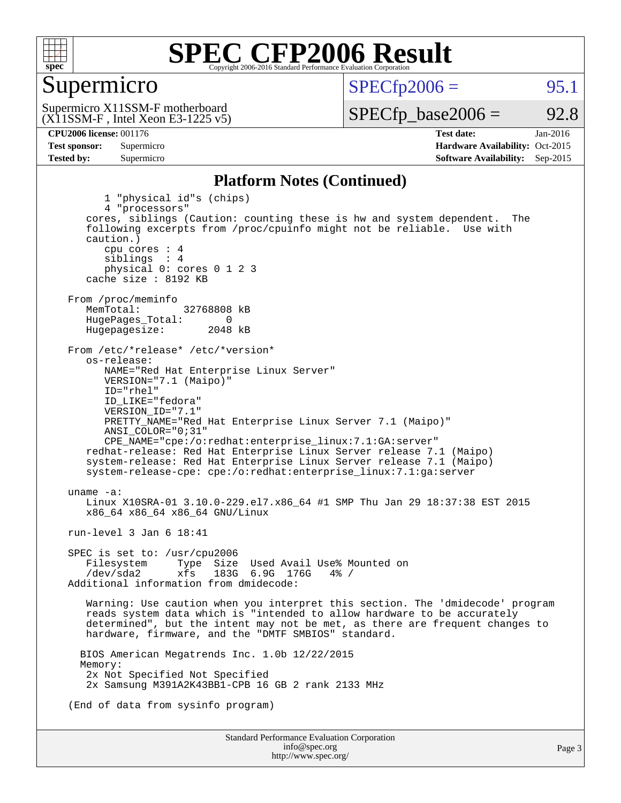

#### Supermicro

 $SPECTp2006 =$  95.1

(X11SSM-F , Intel Xeon E3-1225 v5) Supermicro X11SSM-F motherboard

 $SPECTp\_base2006 = 92.8$ 

**[CPU2006 license:](http://www.spec.org/auto/cpu2006/Docs/result-fields.html#CPU2006license)** 001176 **[Test date:](http://www.spec.org/auto/cpu2006/Docs/result-fields.html#Testdate)** Jan-2016 **[Test sponsor:](http://www.spec.org/auto/cpu2006/Docs/result-fields.html#Testsponsor)** Supermicro Supermicro **[Hardware Availability:](http://www.spec.org/auto/cpu2006/Docs/result-fields.html#HardwareAvailability)** Oct-2015 **[Tested by:](http://www.spec.org/auto/cpu2006/Docs/result-fields.html#Testedby)** Supermicro **Supermicro [Software Availability:](http://www.spec.org/auto/cpu2006/Docs/result-fields.html#SoftwareAvailability)** Sep-2015

#### **[Platform Notes \(Continued\)](http://www.spec.org/auto/cpu2006/Docs/result-fields.html#PlatformNotes)**

Standard Performance Evaluation Corporation [info@spec.org](mailto:info@spec.org) Page 3 1 "physical id"s (chips) 4 "processors" cores, siblings (Caution: counting these is hw and system dependent. The following excerpts from /proc/cpuinfo might not be reliable. Use with caution.) cpu cores : 4 siblings : 4 physical 0: cores 0 1 2 3 cache size : 8192 KB From /proc/meminfo<br>MemTotal: 32768808 kB HugePages\_Total: 0<br>Hugepagesize: 2048 kB Hugepagesize: From /etc/\*release\* /etc/\*version\* os-release: NAME="Red Hat Enterprise Linux Server" VERSION="7.1 (Maipo)" ID="rhel" ID\_LIKE="fedora" VERSION\_ID="7.1" PRETTY\_NAME="Red Hat Enterprise Linux Server 7.1 (Maipo)" ANSI\_COLOR="0;31" CPE\_NAME="cpe:/o:redhat:enterprise\_linux:7.1:GA:server" redhat-release: Red Hat Enterprise Linux Server release 7.1 (Maipo) system-release: Red Hat Enterprise Linux Server release 7.1 (Maipo) system-release-cpe: cpe:/o:redhat:enterprise\_linux:7.1:ga:server uname -a: Linux X10SRA-01 3.10.0-229.el7.x86\_64 #1 SMP Thu Jan 29 18:37:38 EST 2015 x86\_64 x86\_64 x86\_64 GNU/Linux run-level 3 Jan 6 18:41 SPEC is set to: /usr/cpu2006 Filesystem Type Size Used Avail Use% Mounted on<br>
/dev/sda2 xfs 183G 6 9G 176G 4% / 183G 6.9G 176G Additional information from dmidecode: Warning: Use caution when you interpret this section. The 'dmidecode' program reads system data which is "intended to allow hardware to be accurately determined", but the intent may not be met, as there are frequent changes to hardware, firmware, and the "DMTF SMBIOS" standard. BIOS American Megatrends Inc. 1.0b 12/22/2015 Memory: 2x Not Specified Not Specified 2x Samsung M391A2K43BB1-CPB 16 GB 2 rank 2133 MHz (End of data from sysinfo program)

<http://www.spec.org/>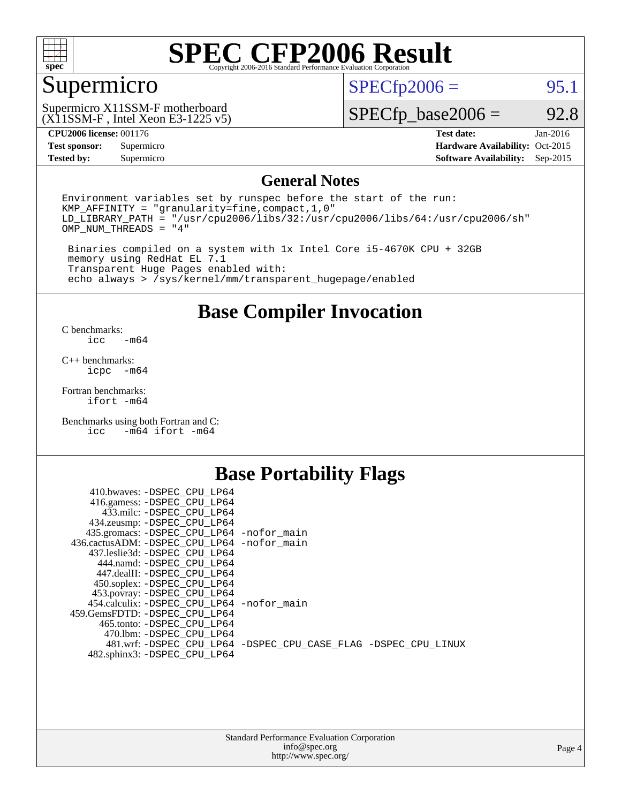

## Supermicro

 $SPECTp2006 =$  95.1

(X11SSM-F , Intel Xeon E3-1225 v5) Supermicro X11SSM-F motherboard

 $SPECfp\_base2006 = 92.8$ 

#### **[CPU2006 license:](http://www.spec.org/auto/cpu2006/Docs/result-fields.html#CPU2006license)** 001176 **[Test date:](http://www.spec.org/auto/cpu2006/Docs/result-fields.html#Testdate)** Jan-2016

**[Test sponsor:](http://www.spec.org/auto/cpu2006/Docs/result-fields.html#Testsponsor)** Supermicro Supermicro **[Hardware Availability:](http://www.spec.org/auto/cpu2006/Docs/result-fields.html#HardwareAvailability)** Oct-2015 **[Tested by:](http://www.spec.org/auto/cpu2006/Docs/result-fields.html#Testedby)** Supermicro **Supermicro [Software Availability:](http://www.spec.org/auto/cpu2006/Docs/result-fields.html#SoftwareAvailability)** Sep-2015

#### **[General Notes](http://www.spec.org/auto/cpu2006/Docs/result-fields.html#GeneralNotes)**

Environment variables set by runspec before the start of the run: KMP\_AFFINITY = "granularity=fine,compact,1,0"  $LD$ <sup>LIBRARY\_PATH = "/usr/cpu2006/libs/32:/usr/cpu2006/libs/64:/usr/cpu2006/sh"</sup> OMP\_NUM\_THREADS = "4"

 Binaries compiled on a system with 1x Intel Core i5-4670K CPU + 32GB memory using RedHat EL 7.1 Transparent Huge Pages enabled with: echo always > /sys/kernel/mm/transparent\_hugepage/enabled

#### **[Base Compiler Invocation](http://www.spec.org/auto/cpu2006/Docs/result-fields.html#BaseCompilerInvocation)**

[C benchmarks](http://www.spec.org/auto/cpu2006/Docs/result-fields.html#Cbenchmarks):  $-m64$ 

[C++ benchmarks:](http://www.spec.org/auto/cpu2006/Docs/result-fields.html#CXXbenchmarks) [icpc -m64](http://www.spec.org/cpu2006/results/res2016q1/cpu2006-20160107-38624.flags.html#user_CXXbase_intel_icpc_64bit_bedb90c1146cab66620883ef4f41a67e)

[Fortran benchmarks](http://www.spec.org/auto/cpu2006/Docs/result-fields.html#Fortranbenchmarks): [ifort -m64](http://www.spec.org/cpu2006/results/res2016q1/cpu2006-20160107-38624.flags.html#user_FCbase_intel_ifort_64bit_ee9d0fb25645d0210d97eb0527dcc06e)

[Benchmarks using both Fortran and C](http://www.spec.org/auto/cpu2006/Docs/result-fields.html#BenchmarksusingbothFortranandC):<br>icc -m64 ifort -m64  $-m64$  ifort  $-m64$ 

#### **[Base Portability Flags](http://www.spec.org/auto/cpu2006/Docs/result-fields.html#BasePortabilityFlags)**

| 410.bwaves: -DSPEC CPU LP64                 |                                                                |
|---------------------------------------------|----------------------------------------------------------------|
| 416.gamess: -DSPEC_CPU_LP64                 |                                                                |
| 433.milc: -DSPEC CPU LP64                   |                                                                |
| 434.zeusmp: -DSPEC_CPU_LP64                 |                                                                |
| 435.gromacs: -DSPEC_CPU_LP64 -nofor_main    |                                                                |
| 436.cactusADM: -DSPEC CPU LP64 -nofor main  |                                                                |
| 437.leslie3d: -DSPEC CPU LP64               |                                                                |
| 444.namd: -DSPEC CPU LP64                   |                                                                |
| 447.dealII: -DSPEC CPU LP64                 |                                                                |
| 450.soplex: -DSPEC_CPU_LP64                 |                                                                |
| 453.povray: -DSPEC_CPU_LP64                 |                                                                |
| 454.calculix: - DSPEC CPU LP64 - nofor main |                                                                |
| 459. GemsFDTD: - DSPEC CPU LP64             |                                                                |
| 465.tonto: - DSPEC CPU LP64                 |                                                                |
| 470.1bm: - DSPEC CPU LP64                   |                                                                |
|                                             | 481.wrf: -DSPEC_CPU_LP64 -DSPEC_CPU_CASE_FLAG -DSPEC_CPU_LINUX |
| 482.sphinx3: -DSPEC_CPU_LP64                |                                                                |
|                                             |                                                                |

| <b>Standard Performance Evaluation Corporation</b> |
|----------------------------------------------------|
| info@spec.org                                      |
| http://www.spec.org/                               |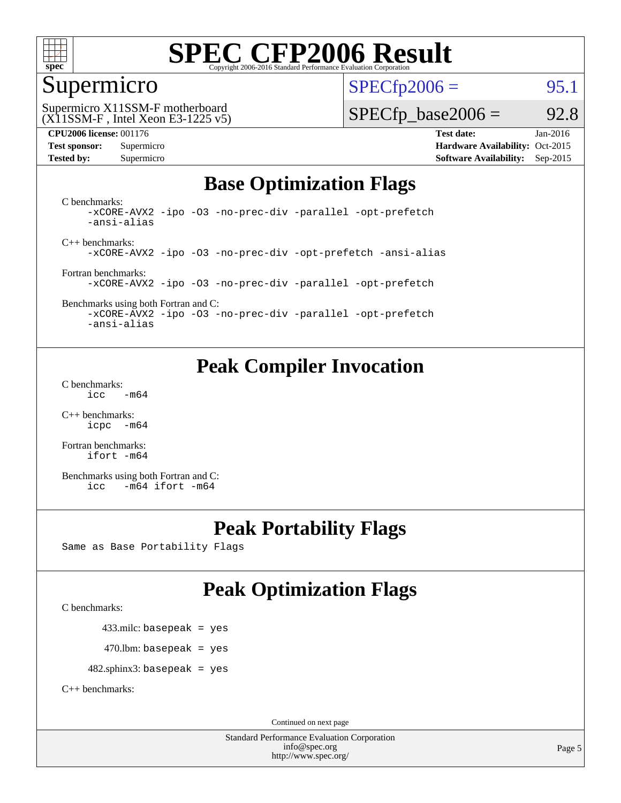

## Supermicro

 $SPECTp2006 =$  95.1

(X11SSM-F , Intel Xeon E3-1225 v5) Supermicro X11SSM-F motherboard

#### $SPECTp\_base2006 = 92.8$

**[Tested by:](http://www.spec.org/auto/cpu2006/Docs/result-fields.html#Testedby)** Supermicro **Supermicro [Software Availability:](http://www.spec.org/auto/cpu2006/Docs/result-fields.html#SoftwareAvailability)** Sep-2015

**[CPU2006 license:](http://www.spec.org/auto/cpu2006/Docs/result-fields.html#CPU2006license)** 001176 **[Test date:](http://www.spec.org/auto/cpu2006/Docs/result-fields.html#Testdate)** Jan-2016 **[Test sponsor:](http://www.spec.org/auto/cpu2006/Docs/result-fields.html#Testsponsor)** Supermicro Supermicro **[Hardware Availability:](http://www.spec.org/auto/cpu2006/Docs/result-fields.html#HardwareAvailability)** Oct-2015

### **[Base Optimization Flags](http://www.spec.org/auto/cpu2006/Docs/result-fields.html#BaseOptimizationFlags)**

[C benchmarks](http://www.spec.org/auto/cpu2006/Docs/result-fields.html#Cbenchmarks): [-xCORE-AVX2](http://www.spec.org/cpu2006/results/res2016q1/cpu2006-20160107-38624.flags.html#user_CCbase_f-xAVX2_5f5fc0cbe2c9f62c816d3e45806c70d7) [-ipo](http://www.spec.org/cpu2006/results/res2016q1/cpu2006-20160107-38624.flags.html#user_CCbase_f-ipo) [-O3](http://www.spec.org/cpu2006/results/res2016q1/cpu2006-20160107-38624.flags.html#user_CCbase_f-O3) [-no-prec-div](http://www.spec.org/cpu2006/results/res2016q1/cpu2006-20160107-38624.flags.html#user_CCbase_f-no-prec-div) [-parallel](http://www.spec.org/cpu2006/results/res2016q1/cpu2006-20160107-38624.flags.html#user_CCbase_f-parallel) [-opt-prefetch](http://www.spec.org/cpu2006/results/res2016q1/cpu2006-20160107-38624.flags.html#user_CCbase_f-opt-prefetch) [-ansi-alias](http://www.spec.org/cpu2006/results/res2016q1/cpu2006-20160107-38624.flags.html#user_CCbase_f-ansi-alias)

[C++ benchmarks:](http://www.spec.org/auto/cpu2006/Docs/result-fields.html#CXXbenchmarks) [-xCORE-AVX2](http://www.spec.org/cpu2006/results/res2016q1/cpu2006-20160107-38624.flags.html#user_CXXbase_f-xAVX2_5f5fc0cbe2c9f62c816d3e45806c70d7) [-ipo](http://www.spec.org/cpu2006/results/res2016q1/cpu2006-20160107-38624.flags.html#user_CXXbase_f-ipo) [-O3](http://www.spec.org/cpu2006/results/res2016q1/cpu2006-20160107-38624.flags.html#user_CXXbase_f-O3) [-no-prec-div](http://www.spec.org/cpu2006/results/res2016q1/cpu2006-20160107-38624.flags.html#user_CXXbase_f-no-prec-div) [-opt-prefetch](http://www.spec.org/cpu2006/results/res2016q1/cpu2006-20160107-38624.flags.html#user_CXXbase_f-opt-prefetch) [-ansi-alias](http://www.spec.org/cpu2006/results/res2016q1/cpu2006-20160107-38624.flags.html#user_CXXbase_f-ansi-alias)

[Fortran benchmarks](http://www.spec.org/auto/cpu2006/Docs/result-fields.html#Fortranbenchmarks): [-xCORE-AVX2](http://www.spec.org/cpu2006/results/res2016q1/cpu2006-20160107-38624.flags.html#user_FCbase_f-xAVX2_5f5fc0cbe2c9f62c816d3e45806c70d7) [-ipo](http://www.spec.org/cpu2006/results/res2016q1/cpu2006-20160107-38624.flags.html#user_FCbase_f-ipo) [-O3](http://www.spec.org/cpu2006/results/res2016q1/cpu2006-20160107-38624.flags.html#user_FCbase_f-O3) [-no-prec-div](http://www.spec.org/cpu2006/results/res2016q1/cpu2006-20160107-38624.flags.html#user_FCbase_f-no-prec-div) [-parallel](http://www.spec.org/cpu2006/results/res2016q1/cpu2006-20160107-38624.flags.html#user_FCbase_f-parallel) [-opt-prefetch](http://www.spec.org/cpu2006/results/res2016q1/cpu2006-20160107-38624.flags.html#user_FCbase_f-opt-prefetch)

[Benchmarks using both Fortran and C](http://www.spec.org/auto/cpu2006/Docs/result-fields.html#BenchmarksusingbothFortranandC): [-xCORE-AVX2](http://www.spec.org/cpu2006/results/res2016q1/cpu2006-20160107-38624.flags.html#user_CC_FCbase_f-xAVX2_5f5fc0cbe2c9f62c816d3e45806c70d7) [-ipo](http://www.spec.org/cpu2006/results/res2016q1/cpu2006-20160107-38624.flags.html#user_CC_FCbase_f-ipo) [-O3](http://www.spec.org/cpu2006/results/res2016q1/cpu2006-20160107-38624.flags.html#user_CC_FCbase_f-O3) [-no-prec-div](http://www.spec.org/cpu2006/results/res2016q1/cpu2006-20160107-38624.flags.html#user_CC_FCbase_f-no-prec-div) [-parallel](http://www.spec.org/cpu2006/results/res2016q1/cpu2006-20160107-38624.flags.html#user_CC_FCbase_f-parallel) [-opt-prefetch](http://www.spec.org/cpu2006/results/res2016q1/cpu2006-20160107-38624.flags.html#user_CC_FCbase_f-opt-prefetch) [-ansi-alias](http://www.spec.org/cpu2006/results/res2016q1/cpu2006-20160107-38624.flags.html#user_CC_FCbase_f-ansi-alias)

### **[Peak Compiler Invocation](http://www.spec.org/auto/cpu2006/Docs/result-fields.html#PeakCompilerInvocation)**

[C benchmarks](http://www.spec.org/auto/cpu2006/Docs/result-fields.html#Cbenchmarks):  $\text{icc}$   $-\text{m64}$ 

[C++ benchmarks:](http://www.spec.org/auto/cpu2006/Docs/result-fields.html#CXXbenchmarks) [icpc -m64](http://www.spec.org/cpu2006/results/res2016q1/cpu2006-20160107-38624.flags.html#user_CXXpeak_intel_icpc_64bit_bedb90c1146cab66620883ef4f41a67e)

[Fortran benchmarks](http://www.spec.org/auto/cpu2006/Docs/result-fields.html#Fortranbenchmarks): [ifort -m64](http://www.spec.org/cpu2006/results/res2016q1/cpu2006-20160107-38624.flags.html#user_FCpeak_intel_ifort_64bit_ee9d0fb25645d0210d97eb0527dcc06e)

[Benchmarks using both Fortran and C](http://www.spec.org/auto/cpu2006/Docs/result-fields.html#BenchmarksusingbothFortranandC): [icc -m64](http://www.spec.org/cpu2006/results/res2016q1/cpu2006-20160107-38624.flags.html#user_CC_FCpeak_intel_icc_64bit_0b7121f5ab7cfabee23d88897260401c) [ifort -m64](http://www.spec.org/cpu2006/results/res2016q1/cpu2006-20160107-38624.flags.html#user_CC_FCpeak_intel_ifort_64bit_ee9d0fb25645d0210d97eb0527dcc06e)

### **[Peak Portability Flags](http://www.spec.org/auto/cpu2006/Docs/result-fields.html#PeakPortabilityFlags)**

Same as Base Portability Flags

## **[Peak Optimization Flags](http://www.spec.org/auto/cpu2006/Docs/result-fields.html#PeakOptimizationFlags)**

[C benchmarks](http://www.spec.org/auto/cpu2006/Docs/result-fields.html#Cbenchmarks):

433.milc: basepeak = yes

 $470.$ lbm: basepeak = yes

482.sphinx3: basepeak = yes

[C++ benchmarks:](http://www.spec.org/auto/cpu2006/Docs/result-fields.html#CXXbenchmarks)

Continued on next page

Standard Performance Evaluation Corporation [info@spec.org](mailto:info@spec.org) <http://www.spec.org/>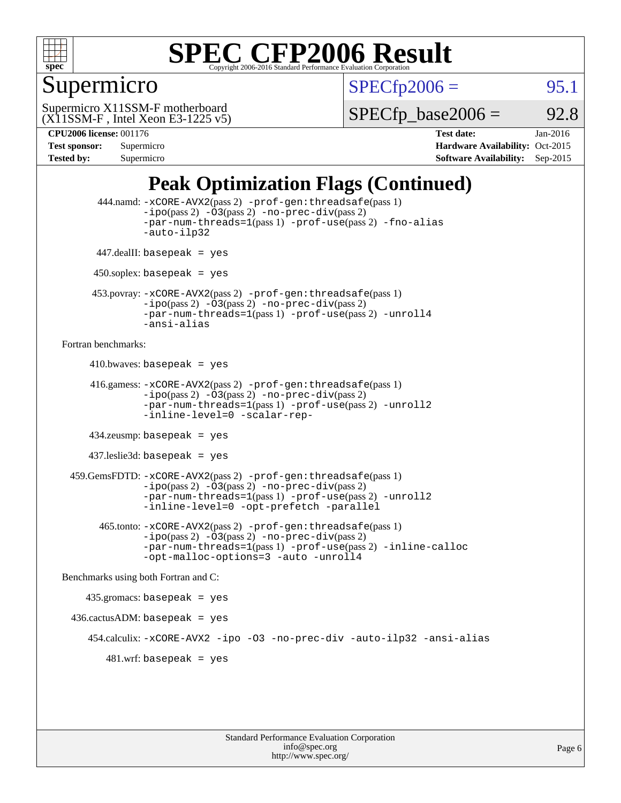

## Supermicro

 $SPECTp2006 =$  95.1

(X11SSM-F , Intel Xeon E3-1225 v5) Supermicro X11SSM-F motherboard

 $SPECTp\_base2006 = 92.8$ 

| <b>Test sponsor:</b> | Supermicro |
|----------------------|------------|
| <b>Tested by:</b>    | Supermicro |

**[CPU2006 license:](http://www.spec.org/auto/cpu2006/Docs/result-fields.html#CPU2006license)** 001176 **[Test date:](http://www.spec.org/auto/cpu2006/Docs/result-fields.html#Testdate)** Jan-2016 **[Hardware Availability:](http://www.spec.org/auto/cpu2006/Docs/result-fields.html#HardwareAvailability)** Oct-2015 **[Software Availability:](http://www.spec.org/auto/cpu2006/Docs/result-fields.html#SoftwareAvailability)** Sep-2015

## **[Peak Optimization Flags \(Continued\)](http://www.spec.org/auto/cpu2006/Docs/result-fields.html#PeakOptimizationFlags)**

```
 444.namd: -xCORE-AVX2(pass 2) -prof-gen:threadsafe(pass 1)
               -ipo(pass 2) -03(pass 2) -no-prec-div(pass 2)
               -par-num-threads=1(pass 1) -prof-use(pass 2) -fno-alias
               -auto-ilp32
      447.dealII: basepeak = yes
      450.soplex: basepeak = yes
      453.povray: -xCORE-AVX2(pass 2) -prof-gen:threadsafe(pass 1)
               -no-prec-div(pass 2)-par-num-threads=1(pass 1) -prof-use(pass 2) -unroll4
               -ansi-alias
Fortran benchmarks: 
     410.bwaves: basepeak = yes 416.gamess: -xCORE-AVX2(pass 2) -prof-gen:threadsafe(pass 1)
               -ipo(pass 2) -03(pass 2) -no-prec-div(pass 2)-par-num-threads=1(pass 1) -prof-use(pass 2) -unroll2
               -inline-level=0 -scalar-rep-
      434.zeusmp: basepeak = yes
     437.leslie3d: basepeak = yes
  459.GemsFDTD: -xCORE-AVX2(pass 2) -prof-gen:threadsafe(pass 1)
               -i\text{po}(pass 2) -\tilde{O}3(pass 2)-no-prec-div(pass 2)
               -par-num-threads=1(pass 1) -prof-use(pass 2) -unroll2
               -inline-level=0 -opt-prefetch -parallel
       465.tonto: -xCORE-AVX2(pass 2) -prof-gen:threadsafe(pass 1)
               -no-prec-div(pass 2)-par-num-threads=1(pass 1) -prof-use(pass 2) -inline-calloc
               -opt-malloc-options=3 -auto -unroll4
Benchmarks using both Fortran and C: 
     435.gromacs: basepeak = yes
 436.cactusADM:basepeak = yes 454.calculix: -xCORE-AVX2 -ipo -O3 -no-prec-div -auto-ilp32 -ansi-alias
        481 \text{.m}: basepeak = yes
```